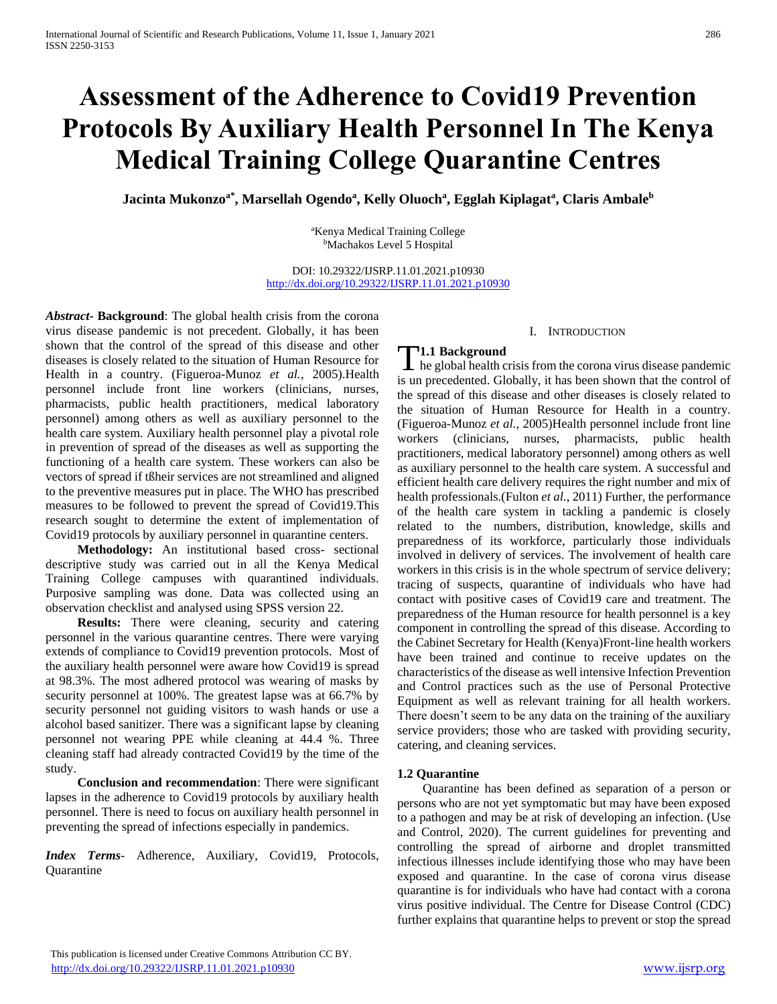# **Assessment of the Adherence to Covid19 Prevention Protocols By Auxiliary Health Personnel In The Kenya Medical Training College Quarantine Centres**

**Jacinta Mukonzoa\*, Marsellah Ogendo<sup>a</sup> , Kelly Oluoch<sup>a</sup> , Egglah Kiplagat<sup>a</sup> , Claris Ambale<sup>b</sup>**

<sup>a</sup>Kenya Medical Training College <sup>b</sup>Machakos Level 5 Hospital

DOI: 10.29322/IJSRP.11.01.2021.p10930 <http://dx.doi.org/10.29322/IJSRP.11.01.2021.p10930>

*Abstract***- Background**: The global health crisis from the corona virus disease pandemic is not precedent. Globally, it has been shown that the control of the spread of this disease and other diseases is closely related to the situation of Human Resource for Health in a country. (Figueroa-Munoz *et al.*, 2005).Health personnel include front line workers (clinicians, nurses, pharmacists, public health practitioners, medical laboratory personnel) among others as well as auxiliary personnel to the health care system. Auxiliary health personnel play a pivotal role in prevention of spread of the diseases as well as supporting the functioning of a health care system. These workers can also be vectors of spread if tßheir services are not streamlined and aligned to the preventive measures put in place. The WHO has prescribed measures to be followed to prevent the spread of Covid19.This research sought to determine the extent of implementation of Covid19 protocols by auxiliary personnel in quarantine centers.

 **Methodology:** An institutional based cross- sectional descriptive study was carried out in all the Kenya Medical Training College campuses with quarantined individuals. Purposive sampling was done. Data was collected using an observation checklist and analysed using SPSS version 22.

 **Results:** There were cleaning, security and catering personnel in the various quarantine centres. There were varying extends of compliance to Covid19 prevention protocols. Most of the auxiliary health personnel were aware how Covid19 is spread at 98.3%. The most adhered protocol was wearing of masks by security personnel at 100%. The greatest lapse was at 66.7% by security personnel not guiding visitors to wash hands or use a alcohol based sanitizer. There was a significant lapse by cleaning personnel not wearing PPE while cleaning at 44.4 %. Three cleaning staff had already contracted Covid19 by the time of the study.

 **Conclusion and recommendation**: There were significant lapses in the adherence to Covid19 protocols by auxiliary health personnel. There is need to focus on auxiliary health personnel in preventing the spread of infections especially in pandemics.

*Index Terms*- Adherence, Auxiliary, Covid19, Protocols, **Quarantine** 

#### I. INTRODUCTION

# **1.1 Background**

**he global health crisis from the corona virus disease pandemic** is un precedented. Globally, it has been shown that the control of the spread of this disease and other diseases is closely related to the situation of Human Resource for Health in a country. (Figueroa-Munoz *et al.*, 2005)Health personnel include front line workers (clinicians, nurses, pharmacists, public health practitioners, medical laboratory personnel) among others as well as auxiliary personnel to the health care system. A successful and efficient health care delivery requires the right number and mix of health professionals.(Fulton *et al.*, 2011) Further, the performance of the health care system in tackling a pandemic is closely related to the numbers, distribution, knowledge, skills and preparedness of its workforce, particularly those individuals involved in delivery of services. The involvement of health care workers in this crisis is in the whole spectrum of service delivery; tracing of suspects, quarantine of individuals who have had contact with positive cases of Covid19 care and treatment. The preparedness of the Human resource for health personnel is a key component in controlling the spread of this disease. According to the Cabinet Secretary for Health (Kenya)Front-line health workers have been trained and continue to receive updates on the characteristics of the disease as well intensive Infection Prevention and Control practices such as the use of Personal Protective Equipment as well as relevant training for all health workers. There doesn't seem to be any data on the training of the auxiliary service providers; those who are tasked with providing security, catering, and cleaning services.

#### **1.2 Quarantine**

 Quarantine has been defined as separation of a person or persons who are not yet symptomatic but may have been exposed to a pathogen and may be at risk of developing an infection. (Use and Control, 2020). The current guidelines for preventing and controlling the spread of airborne and droplet transmitted infectious illnesses include identifying those who may have been exposed and quarantine. In the case of corona virus disease quarantine is for individuals who have had contact with a corona virus positive individual. The Centre for Disease Control (CDC) further explains that quarantine helps to prevent or stop the spread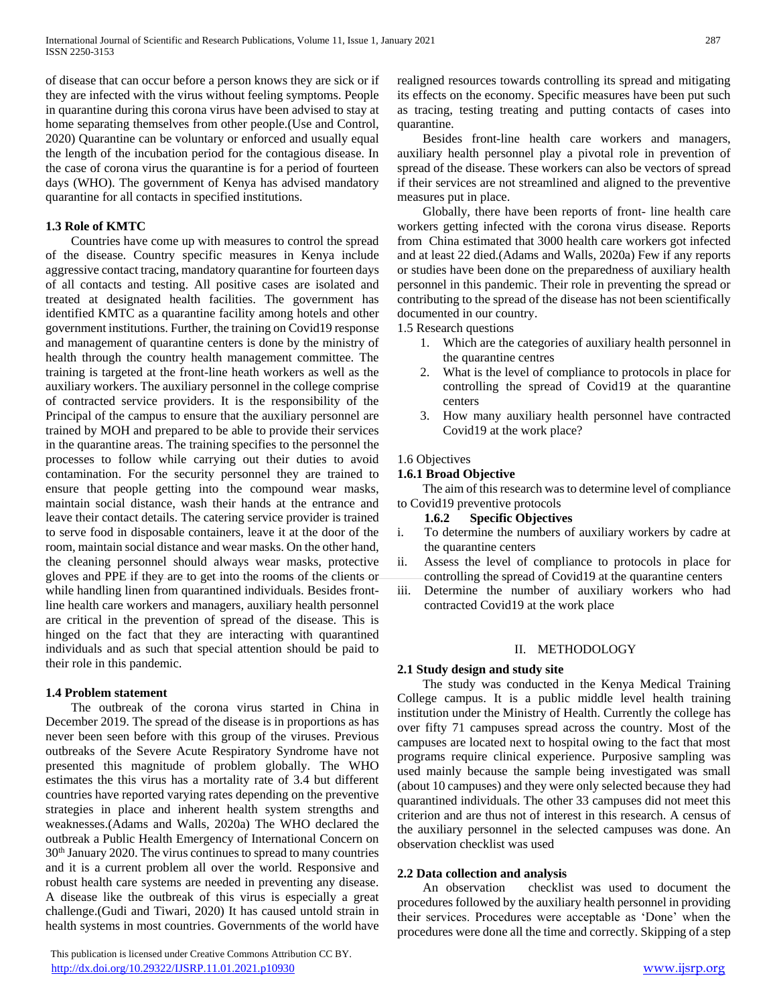of disease that can occur before a person knows they are sick or if they are infected with the virus without feeling symptoms. People in quarantine during this corona virus have been advised to stay at home separating themselves from other people.(Use and Control, 2020) Quarantine can be voluntary or enforced and usually equal the length of the incubation period for the contagious disease. In the case of corona virus the quarantine is for a period of fourteen days (WHO). The government of Kenya has advised mandatory quarantine for all contacts in specified institutions.

## **1.3 Role of KMTC**

 Countries have come up with measures to control the spread of the disease. Country specific measures in Kenya include aggressive contact tracing, mandatory quarantine for fourteen days of all contacts and testing. All positive cases are isolated and treated at designated health facilities. The government has identified KMTC as a quarantine facility among hotels and other government institutions. Further, the training on Covid19 response and management of quarantine centers is done by the ministry of health through the country health management committee. The training is targeted at the front-line heath workers as well as the auxiliary workers. The auxiliary personnel in the college comprise of contracted service providers. It is the responsibility of the Principal of the campus to ensure that the auxiliary personnel are trained by MOH and prepared to be able to provide their services in the quarantine areas. The training specifies to the personnel the processes to follow while carrying out their duties to avoid contamination. For the security personnel they are trained to ensure that people getting into the compound wear masks, maintain social distance, wash their hands at the entrance and leave their contact details. The catering service provider is trained to serve food in disposable containers, leave it at the door of the room, maintain social distance and wear masks. On the other hand, the cleaning personnel should always wear masks, protective gloves and PPE if they are to get into the rooms of the clients or while handling linen from quarantined individuals. Besides frontline health care workers and managers, auxiliary health personnel are critical in the prevention of spread of the disease. This is hinged on the fact that they are interacting with quarantined individuals and as such that special attention should be paid to their role in this pandemic.

#### **1.4 Problem statement**

 The outbreak of the corona virus started in China in December 2019. The spread of the disease is in proportions as has never been seen before with this group of the viruses. Previous outbreaks of the Severe Acute Respiratory Syndrome have not presented this magnitude of problem globally. The WHO estimates the this virus has a mortality rate of 3.4 but different countries have reported varying rates depending on the preventive strategies in place and inherent health system strengths and weaknesses.(Adams and Walls, 2020a) The WHO declared the outbreak a Public Health Emergency of International Concern on 30th January 2020. The virus continues to spread to many countries and it is a current problem all over the world. Responsive and robust health care systems are needed in preventing any disease. A disease like the outbreak of this virus is especially a great challenge.(Gudi and Tiwari, 2020) It has caused untold strain in health systems in most countries. Governments of the world have

 This publication is licensed under Creative Commons Attribution CC BY. <http://dx.doi.org/10.29322/IJSRP.11.01.2021.p10930> [www.ijsrp.org](http://ijsrp.org/)

realigned resources towards controlling its spread and mitigating its effects on the economy. Specific measures have been put such as tracing, testing treating and putting contacts of cases into quarantine.

 Besides front-line health care workers and managers, auxiliary health personnel play a pivotal role in prevention of spread of the disease. These workers can also be vectors of spread if their services are not streamlined and aligned to the preventive measures put in place.

 Globally, there have been reports of front- line health care workers getting infected with the corona virus disease. Reports from China estimated that 3000 health care workers got infected and at least 22 died.(Adams and Walls, 2020a) Few if any reports or studies have been done on the preparedness of auxiliary health personnel in this pandemic. Their role in preventing the spread or contributing to the spread of the disease has not been scientifically documented in our country.

1.5 Research questions

- 1. Which are the categories of auxiliary health personnel in the quarantine centres
- 2. What is the level of compliance to protocols in place for controlling the spread of Covid19 at the quarantine centers
- 3. How many auxiliary health personnel have contracted Covid19 at the work place?

#### 1.6 Objectives

## **1.6.1 Broad Objective**

 The aim of this research was to determine level of compliance to Covid19 preventive protocols

- **1.6.2 Specific Objectives**
- i. To determine the numbers of auxiliary workers by cadre at the quarantine centers
- ii. Assess the level of compliance to protocols in place for controlling the spread of Covid19 at the quarantine centers
- iii. Determine the number of auxiliary workers who had contracted Covid19 at the work place

## II. METHODOLOGY

#### **2.1 Study design and study site**

 The study was conducted in the Kenya Medical Training College campus. It is a public middle level health training institution under the Ministry of Health. Currently the college has over fifty 71 campuses spread across the country. Most of the campuses are located next to hospital owing to the fact that most programs require clinical experience. Purposive sampling was used mainly because the sample being investigated was small (about 10 campuses) and they were only selected because they had quarantined individuals. The other 33 campuses did not meet this criterion and are thus not of interest in this research. A census of the auxiliary personnel in the selected campuses was done. An observation checklist was used

#### **2.2 Data collection and analysis**

 An observation checklist was used to document the procedures followed by the auxiliary health personnel in providing their services. Procedures were acceptable as 'Done' when the procedures were done all the time and correctly. Skipping of a step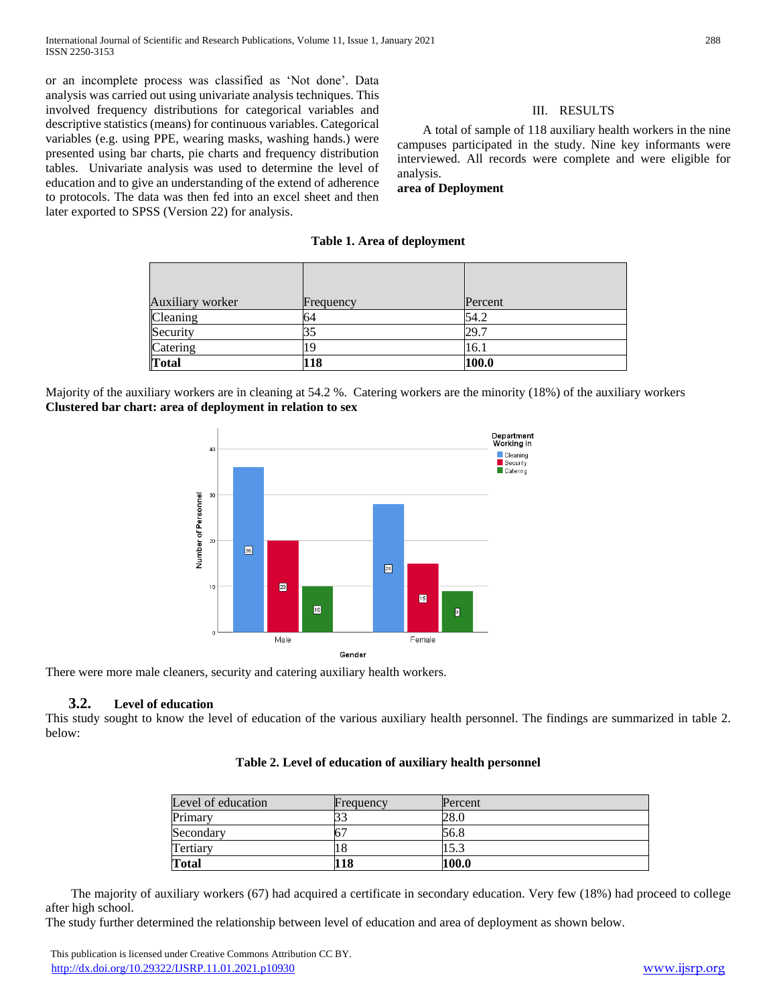or an incomplete process was classified as 'Not done'. Data analysis was carried out using univariate analysis techniques. This involved frequency distributions for categorical variables and descriptive statistics (means) for continuous variables. Categorical variables (e.g. using PPE, wearing masks, washing hands.) were presented using bar charts, pie charts and frequency distribution tables. Univariate analysis was used to determine the level of education and to give an understanding of the extend of adherence to protocols. The data was then fed into an excel sheet and then later exported to SPSS (Version 22) for analysis.

#### III. RESULTS

 A total of sample of 118 auxiliary health workers in the nine campuses participated in the study. Nine key informants were interviewed. All records were complete and were eligible for analysis.

**area of Deployment** 

#### **Table 1. Area of deployment**

| Auxiliary worker | Frequency | Percent |  |
|------------------|-----------|---------|--|
| Cleaning         | 64        | 54.2    |  |
| Security         |           | 29.7    |  |
| Catering         |           | 16.1    |  |
| Total            | 118       | 100.0   |  |

Majority of the auxiliary workers are in cleaning at 54.2 %. Catering workers are the minority (18%) of the auxiliary workers **Clustered bar chart: area of deployment in relation to sex**



There were more male cleaners, security and catering auxiliary health workers.

## **3.2. Level of education**

This study sought to know the level of education of the various auxiliary health personnel. The findings are summarized in table 2. below:

| Level of education | Frequency | Percent |
|--------------------|-----------|---------|
| Primarv            |           | 28.0    |

| Table 2. Level of education of auxiliary health personnel |  |  |  |
|-----------------------------------------------------------|--|--|--|
|-----------------------------------------------------------|--|--|--|

 The majority of auxiliary workers (67) had acquired a certificate in secondary education. Very few (18%) had proceed to college after high school.

The study further determined the relationship between level of education and area of deployment as shown below.

Secondary  $67$  56.8 Tertiary  $18$  18  $15.3$ **Total 118 100.0**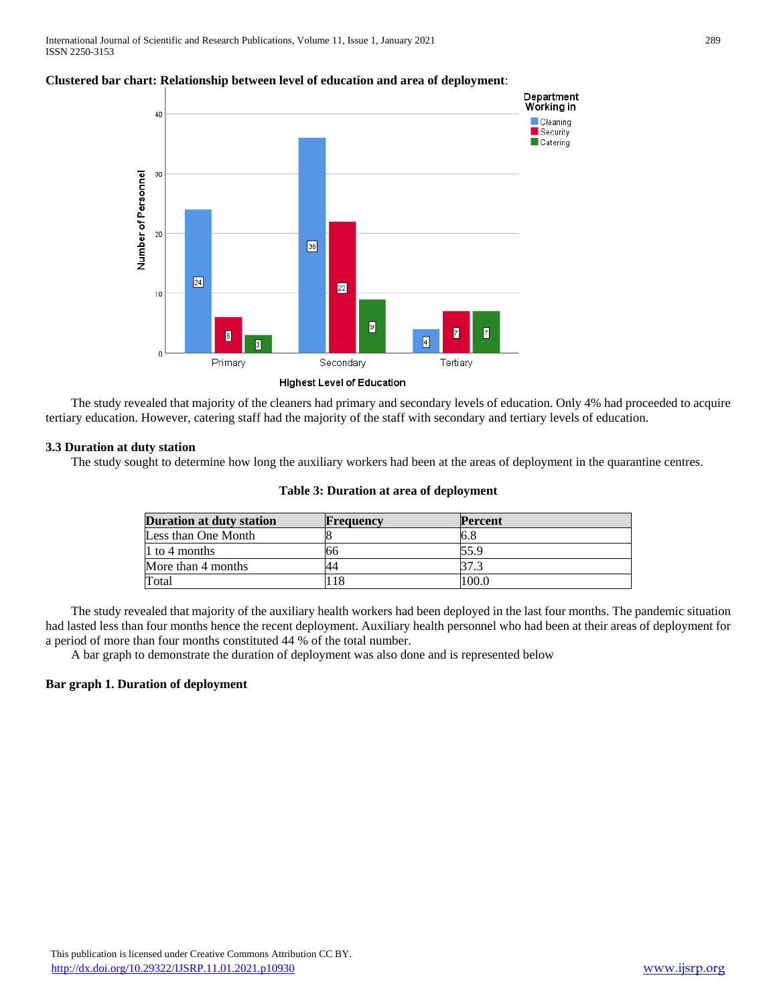

## **Clustered bar chart: Relationship between level of education and area of deployment**:

 The study revealed that majority of the cleaners had primary and secondary levels of education. Only 4% had proceeded to acquire tertiary education. However, catering staff had the majority of the staff with secondary and tertiary levels of education.

#### **3.3 Duration at duty station**

The study sought to determine how long the auxiliary workers had been at the areas of deployment in the quarantine centres.

| Duration at duty station | <b>Frequency</b> | <b>Percent</b> |  |
|--------------------------|------------------|----------------|--|
| Less than One Month      |                  | 6.8            |  |
| 1 to 4 months            |                  | 55.9           |  |
| More than 4 months       |                  |                |  |
| Total                    | 18               | 100.0          |  |

#### **Table 3: Duration at area of deployment**

 The study revealed that majority of the auxiliary health workers had been deployed in the last four months. The pandemic situation had lasted less than four months hence the recent deployment. Auxiliary health personnel who had been at their areas of deployment for a period of more than four months constituted 44 % of the total number.

A bar graph to demonstrate the duration of deployment was also done and is represented below

#### **Bar graph 1. Duration of deployment**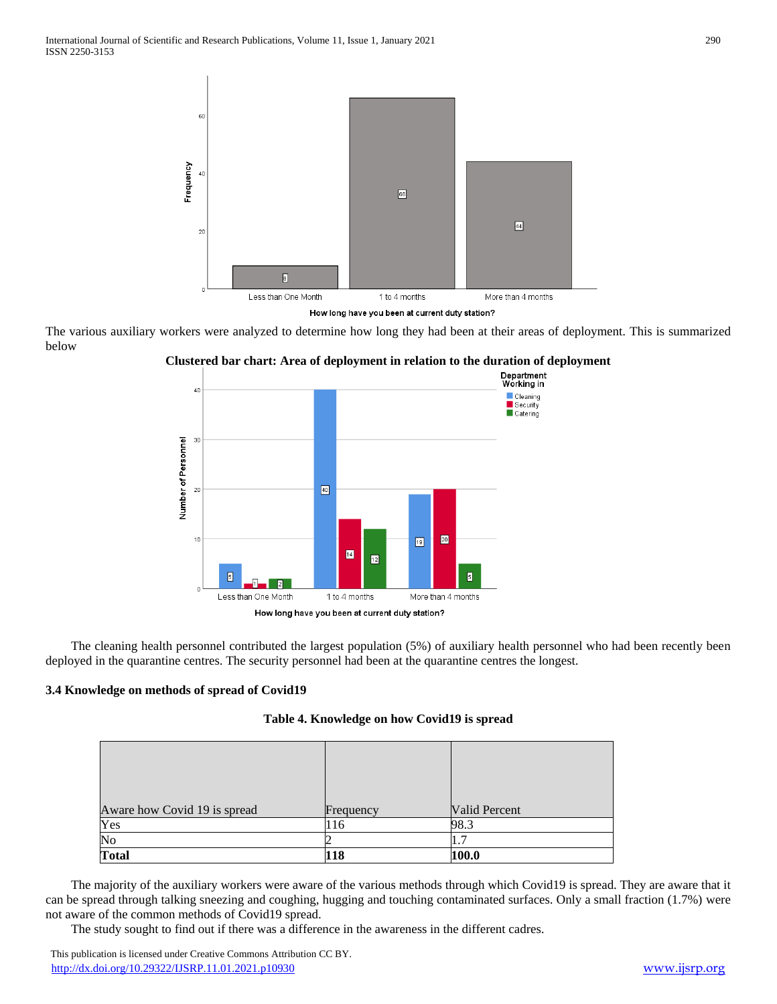

How long have you been at current duty station?

The various auxiliary workers were analyzed to determine how long they had been at their areas of deployment. This is summarized below





 The cleaning health personnel contributed the largest population (5%) of auxiliary health personnel who had been recently been deployed in the quarantine centres. The security personnel had been at the quarantine centres the longest.

# **3.4 Knowledge on methods of spread of Covid19**

|  | Table 4. Knowledge on how Covid19 is spread |  |  |  |
|--|---------------------------------------------|--|--|--|
|--|---------------------------------------------|--|--|--|

| Aware how Covid 19 is spread | Frequency | <b>Valid Percent</b> |  |
|------------------------------|-----------|----------------------|--|
| Yes                          | 116       | 98.3                 |  |
| No                           |           |                      |  |
| <b>Total</b>                 | 118       | 100.0                |  |

 The majority of the auxiliary workers were aware of the various methods through which Covid19 is spread. They are aware that it can be spread through talking sneezing and coughing, hugging and touching contaminated surfaces. Only a small fraction (1.7%) were not aware of the common methods of Covid19 spread.

The study sought to find out if there was a difference in the awareness in the different cadres.

 This publication is licensed under Creative Commons Attribution CC BY. <http://dx.doi.org/10.29322/IJSRP.11.01.2021.p10930> [www.ijsrp.org](http://ijsrp.org/)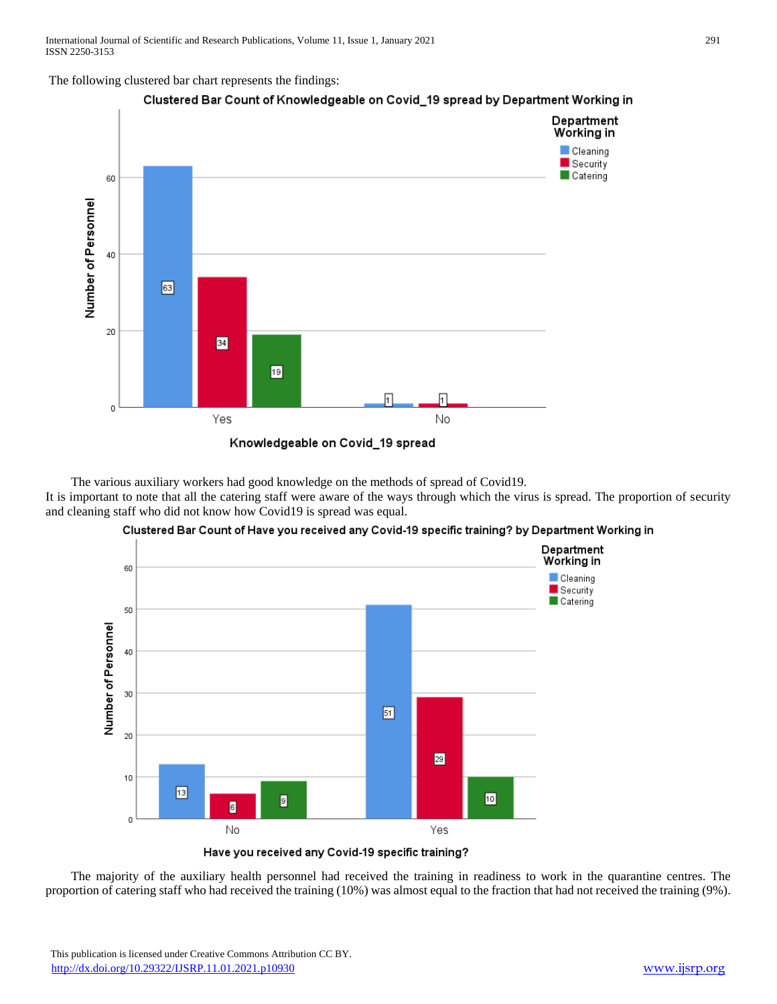The following clustered bar chart represents the findings:



Clustered Bar Count of Knowledgeable on Covid\_19 spread by Department Working in

The various auxiliary workers had good knowledge on the methods of spread of Covid19.

It is important to note that all the catering staff were aware of the ways through which the virus is spread. The proportion of security and cleaning staff who did not know how Covid19 is spread was equal.





Have you received any Covid-19 specific training?

 The majority of the auxiliary health personnel had received the training in readiness to work in the quarantine centres. The proportion of catering staff who had received the training (10%) was almost equal to the fraction that had not received the training (9%).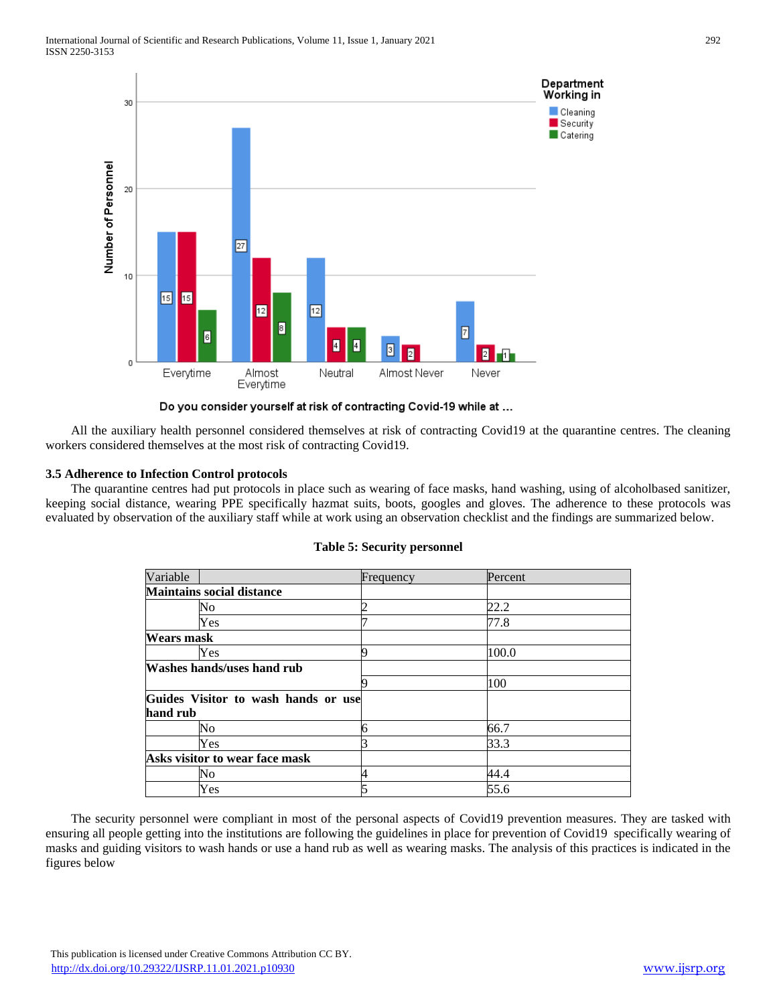

Do you consider yourself at risk of contracting Covid-19 while at ...

 All the auxiliary health personnel considered themselves at risk of contracting Covid19 at the quarantine centres. The cleaning workers considered themselves at the most risk of contracting Covid19.

## **3.5 Adherence to Infection Control protocols**

 The quarantine centres had put protocols in place such as wearing of face masks, hand washing, using of alcoholbased sanitizer, keeping social distance, wearing PPE specifically hazmat suits, boots, googles and gloves. The adherence to these protocols was evaluated by observation of the auxiliary staff while at work using an observation checklist and the findings are summarized below.

| Variable                   |                                     | Frequency | Percent |
|----------------------------|-------------------------------------|-----------|---------|
|                            | <b>Maintains social distance</b>    |           |         |
|                            | Nο                                  |           | 22.2    |
|                            | Yes                                 |           | 77.8    |
| Wears mask                 |                                     |           |         |
|                            | Yes                                 |           | 100.0   |
| Washes hands/uses hand rub |                                     |           |         |
|                            |                                     |           | 100     |
|                            | Guides Visitor to wash hands or use |           |         |
| hand rub                   |                                     |           |         |
|                            | No                                  | h         | 66.7    |
|                            | Yes                                 |           | 33.3    |
|                            | Asks visitor to wear face mask      |           |         |
|                            | No                                  |           | 44.4    |
|                            | Yes                                 |           | 55.6    |

#### **Table 5: Security personnel**

 The security personnel were compliant in most of the personal aspects of Covid19 prevention measures. They are tasked with ensuring all people getting into the institutions are following the guidelines in place for prevention of Covid19 specifically wearing of masks and guiding visitors to wash hands or use a hand rub as well as wearing masks. The analysis of this practices is indicated in the figures below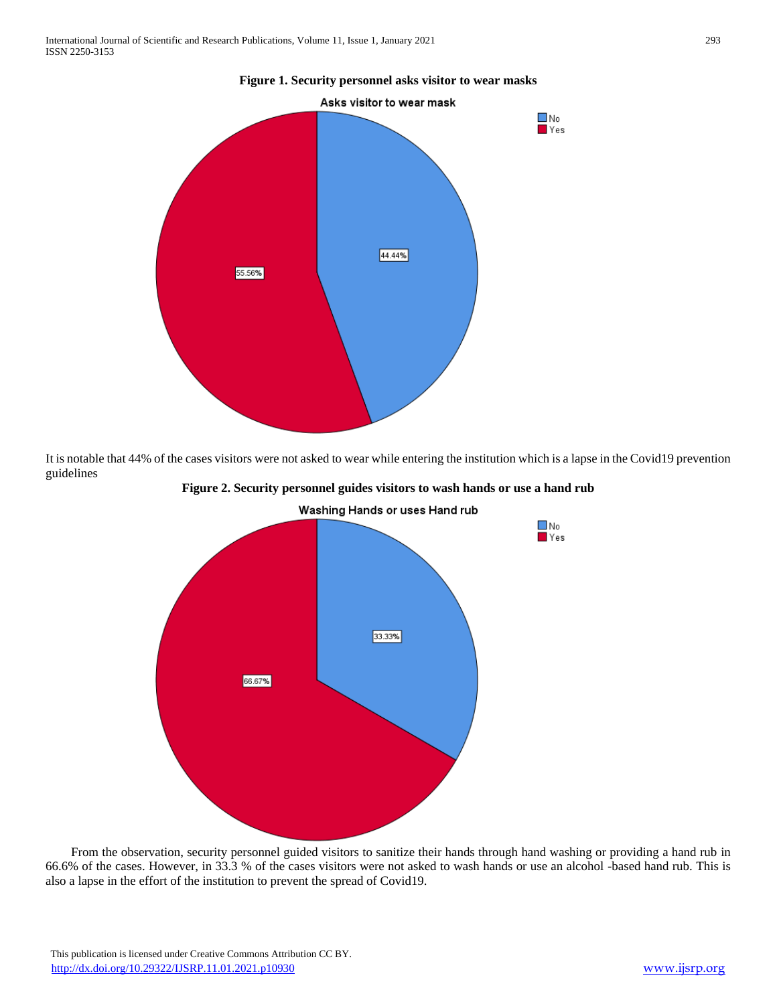

**Figure 1. Security personnel asks visitor to wear masks**

It is notable that 44% of the cases visitors were not asked to wear while entering the institution which is a lapse in the Covid19 prevention guidelines



**Figure 2. Security personnel guides visitors to wash hands or use a hand rub**

 From the observation, security personnel guided visitors to sanitize their hands through hand washing or providing a hand rub in 66.6% of the cases. However, in 33.3 % of the cases visitors were not asked to wash hands or use an alcohol -based hand rub. This is also a lapse in the effort of the institution to prevent the spread of Covid19.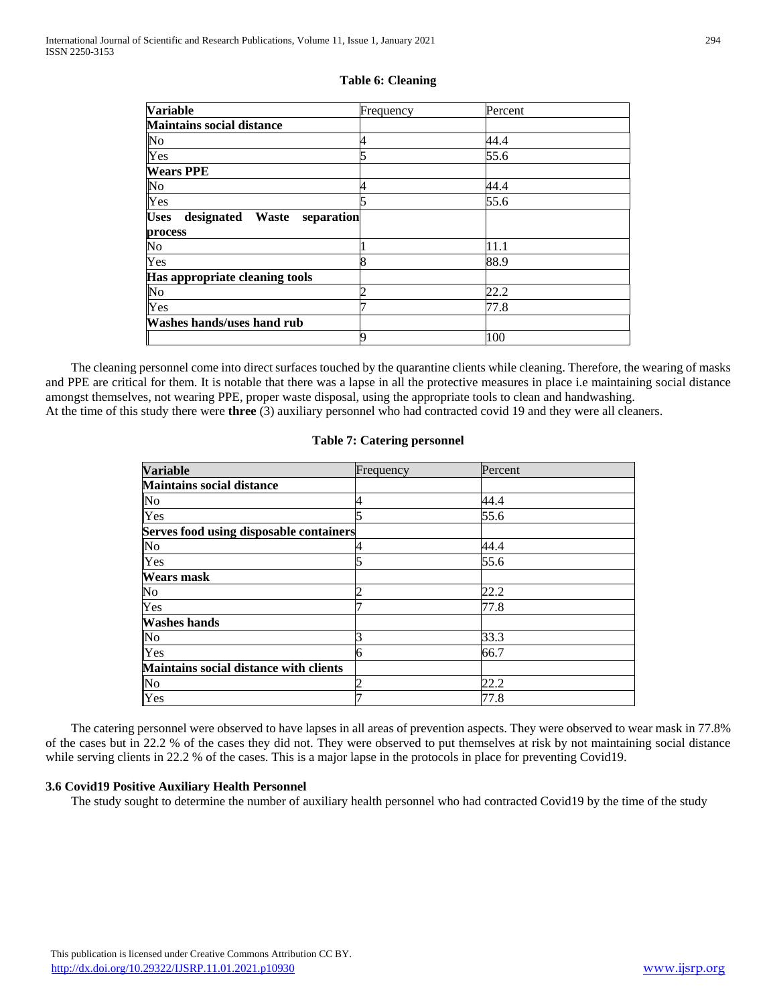| <b>Variable</b>                               | Frequency | Percent |  |
|-----------------------------------------------|-----------|---------|--|
| <b>Maintains social distance</b>              |           |         |  |
| No                                            |           | 44.4    |  |
| Yes                                           |           | 55.6    |  |
| <b>Wears PPE</b>                              |           |         |  |
| No                                            |           | 44.4    |  |
| Yes                                           |           | 55.6    |  |
| <b>Uses</b><br>designated Waste<br>separation |           |         |  |
| process                                       |           |         |  |
| No                                            |           | 11.1    |  |
| Yes                                           |           | 88.9    |  |
| Has appropriate cleaning tools                |           |         |  |
| $\overline{\text{No}}$                        |           | 22.2    |  |
| Yes                                           |           | 77.8    |  |
| Washes hands/uses hand rub                    |           |         |  |
|                                               |           | 100     |  |

#### **Table 6: Cleaning**

 The cleaning personnel come into direct surfaces touched by the quarantine clients while cleaning. Therefore, the wearing of masks and PPE are critical for them. It is notable that there was a lapse in all the protective measures in place i.e maintaining social distance amongst themselves, not wearing PPE, proper waste disposal, using the appropriate tools to clean and handwashing. At the time of this study there were **three** (3) auxiliary personnel who had contracted covid 19 and they were all cleaners.

#### **Table 7: Catering personnel**

| <b>Variable</b>                                | Frequency | Percent |  |
|------------------------------------------------|-----------|---------|--|
| <b>Maintains social distance</b>               |           |         |  |
| N <sub>o</sub>                                 |           | 44.4    |  |
| Yes                                            |           | 55.6    |  |
| <b>Serves food using disposable containers</b> |           |         |  |
| N <sub>o</sub>                                 |           | 44.4    |  |
| Yes                                            |           | 55.6    |  |
| Wears mask                                     |           |         |  |
| No                                             |           | 22.2    |  |
| Yes                                            |           | 77.8    |  |
| <b>Washes hands</b>                            |           |         |  |
| No                                             |           | 33.3    |  |
| Yes                                            |           | 66.7    |  |
| Maintains social distance with clients         |           |         |  |
| N <sub>o</sub>                                 |           | 22.2    |  |
| Yes                                            |           | 77.8    |  |

 The catering personnel were observed to have lapses in all areas of prevention aspects. They were observed to wear mask in 77.8% of the cases but in 22.2 % of the cases they did not. They were observed to put themselves at risk by not maintaining social distance while serving clients in 22.2 % of the cases. This is a major lapse in the protocols in place for preventing Covid19.

#### **3.6 Covid19 Positive Auxiliary Health Personnel**

The study sought to determine the number of auxiliary health personnel who had contracted Covid19 by the time of the study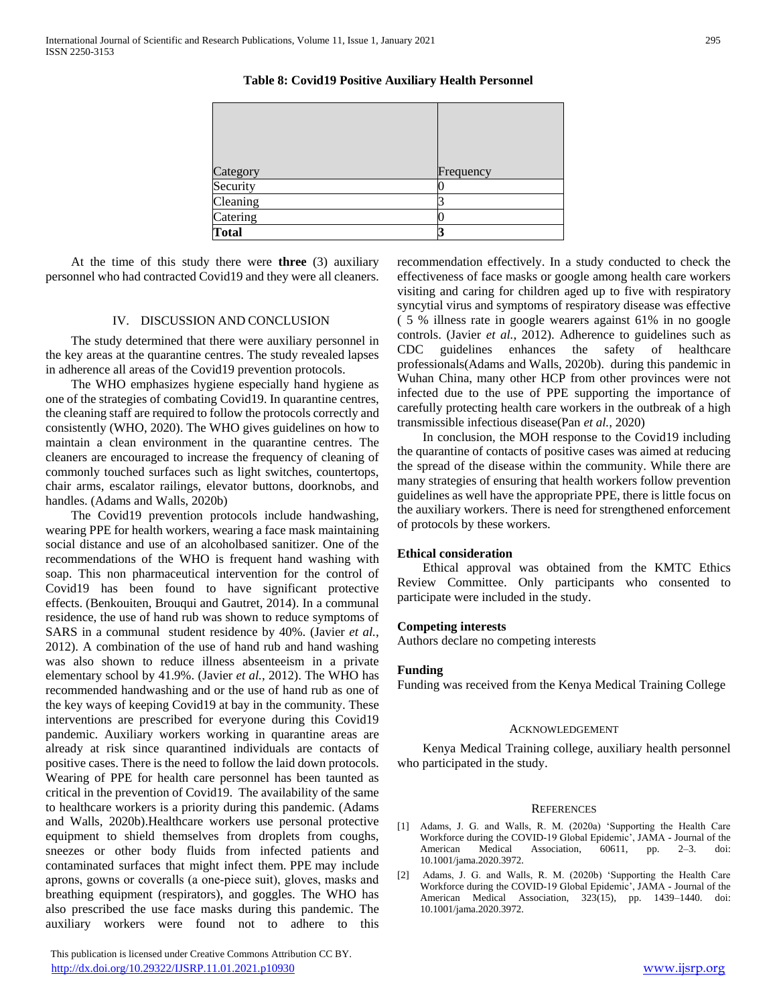Category **Frequency** Security  $\Box$  3 **Catering Total 3**

**Table 8: Covid19 Positive Auxiliary Health Personnel**

 At the time of this study there were **three** (3) auxiliary personnel who had contracted Covid19 and they were all cleaners.

#### IV. DISCUSSION AND CONCLUSION

 The study determined that there were auxiliary personnel in the key areas at the quarantine centres. The study revealed lapses in adherence all areas of the Covid19 prevention protocols.

 The WHO emphasizes hygiene especially hand hygiene as one of the strategies of combating Covid19. In quarantine centres, the cleaning staff are required to follow the protocols correctly and consistently (WHO, 2020). The WHO gives guidelines on how to maintain a clean environment in the quarantine centres. The cleaners are encouraged to increase the frequency of cleaning of commonly touched surfaces such as light switches, countertops, chair arms, escalator railings, elevator buttons, doorknobs, and handles. (Adams and Walls, 2020b)

 The Covid19 prevention protocols include handwashing, wearing PPE for health workers, wearing a face mask maintaining social distance and use of an alcoholbased sanitizer. One of the recommendations of the WHO is frequent hand washing with soap. This non pharmaceutical intervention for the control of Covid19 has been found to have significant protective effects. (Benkouiten, Brouqui and Gautret, 2014). In a communal residence, the use of hand rub was shown to reduce symptoms of SARS in a communal student residence by 40%. (Javier *et al.*, 2012). A combination of the use of hand rub and hand washing was also shown to reduce illness absenteeism in a private elementary school by 41.9%. (Javier *et al.*, 2012). The WHO has recommended handwashing and or the use of hand rub as one of the key ways of keeping Covid19 at bay in the community. These interventions are prescribed for everyone during this Covid19 pandemic. Auxiliary workers working in quarantine areas are already at risk since quarantined individuals are contacts of positive cases. There is the need to follow the laid down protocols. Wearing of PPE for health care personnel has been taunted as critical in the prevention of Covid19. The availability of the same to healthcare workers is a priority during this pandemic. (Adams and Walls, 2020b).Healthcare workers use personal protective equipment to shield themselves from droplets from coughs, sneezes or other body fluids from infected patients and contaminated surfaces that might infect them. PPE may include aprons, gowns or coveralls (a one‐piece suit), gloves, masks and breathing equipment (respirators), and goggles. The WHO has also prescribed the use face masks during this pandemic. The auxiliary workers were found not to adhere to this

 This publication is licensed under Creative Commons Attribution CC BY. <http://dx.doi.org/10.29322/IJSRP.11.01.2021.p10930> [www.ijsrp.org](http://ijsrp.org/)

recommendation effectively. In a study conducted to check the effectiveness of face masks or google among health care workers visiting and caring for children aged up to five with respiratory syncytial virus and symptoms of respiratory disease was effective ( 5 % illness rate in google wearers against 61% in no google controls. (Javier *et al.*, 2012). Adherence to guidelines such as CDC guidelines enhances the safety of healthcare professionals(Adams and Walls, 2020b). during this pandemic in Wuhan China, many other HCP from other provinces were not infected due to the use of PPE supporting the importance of carefully protecting health care workers in the outbreak of a high transmissible infectious disease(Pan *et al.*, 2020)

 In conclusion, the MOH response to the Covid19 including the quarantine of contacts of positive cases was aimed at reducing the spread of the disease within the community. While there are many strategies of ensuring that health workers follow prevention guidelines as well have the appropriate PPE, there is little focus on the auxiliary workers. There is need for strengthened enforcement of protocols by these workers.

#### **Ethical consideration**

 Ethical approval was obtained from the KMTC Ethics Review Committee. Only participants who consented to participate were included in the study.

#### **Competing interests**

Authors declare no competing interests

## **Funding**

Funding was received from the Kenya Medical Training College

#### **ACKNOWLEDGEMENT**

 Kenya Medical Training college, auxiliary health personnel who participated in the study.

#### **REFERENCES**

- [1] Adams, J. G. and Walls, R. M. (2020a) 'Supporting the Health Care Workforce during the COVID-19 Global Epidemic', JAMA - Journal of the American Medical Association, 60611, pp. 2–3. doi: 10.1001/jama.2020.3972.
- [2] Adams, J. G. and Walls, R. M. (2020b) 'Supporting the Health Care Workforce during the COVID-19 Global Epidemic', JAMA - Journal of the American Medical Association, 323(15), pp. 1439–1440. doi: 10.1001/jama.2020.3972.